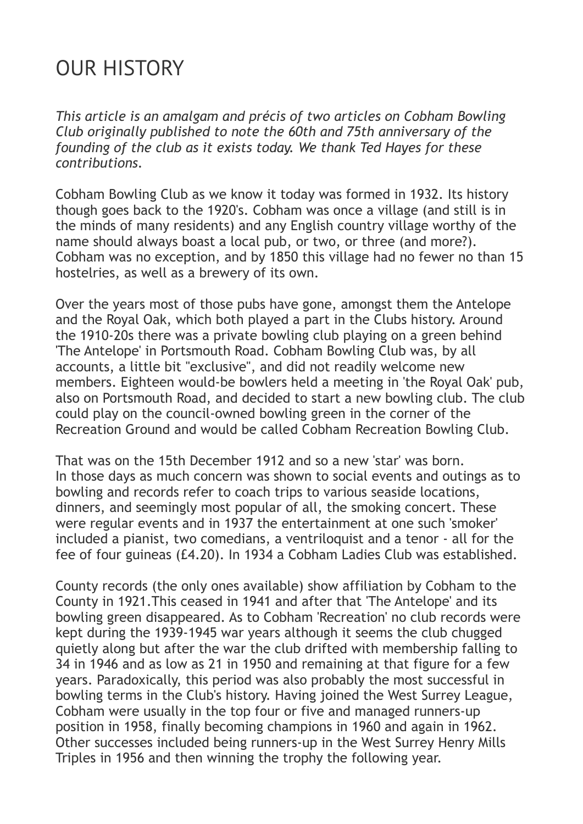## OUR HISTORY

*This article is an amalgam and précis of two articles on Cobham Bowling Club originally published to note the 60th and 75th anniversary of the founding of the club as it exists today. We thank Ted Hayes for these contributions.*

Cobham Bowling Club as we know it today was formed in 1932. Its history though goes back to the 1920's. Cobham was once a village (and still is in the minds of many residents) and any English country village worthy of the name should always boast a local pub, or two, or three (and more?). Cobham was no exception, and by 1850 this village had no fewer no than 15 hostelries, as well as a brewery of its own.

Over the years most of those pubs have gone, amongst them the Antelope and the Royal Oak, which both played a part in the Clubs history. Around the 1910-20s there was a private bowling club playing on a green behind 'The Antelope' in Portsmouth Road. Cobham Bowling Club was, by all accounts, a little bit "exclusive", and did not readily welcome new members. Eighteen would-be bowlers held a meeting in 'the Royal Oak' pub, also on Portsmouth Road, and decided to start a new bowling club. The club could play on the council-owned bowling green in the corner of the Recreation Ground and would be called Cobham Recreation Bowling Club.

That was on the 15th December 1912 and so a new 'star' was born. In those days as much concern was shown to social events and outings as to bowling and records refer to coach trips to various seaside locations, dinners, and seemingly most popular of all, the smoking concert. These were regular events and in 1937 the entertainment at one such 'smoker' included a pianist, two comedians, a ventriloquist and a tenor - all for the fee of four guineas (£4.20). In 1934 a Cobham Ladies Club was established.

County records (the only ones available) show affiliation by Cobham to the County in 1921.This ceased in 1941 and after that 'The Antelope' and its bowling green disappeared. As to Cobham 'Recreation' no club records were kept during the 1939-1945 war years although it seems the club chugged quietly along but after the war the club drifted with membership falling to 34 in 1946 and as low as 21 in 1950 and remaining at that figure for a few years. Paradoxically, this period was also probably the most successful in bowling terms in the Club's history. Having joined the West Surrey League, Cobham were usually in the top four or five and managed runners-up position in 1958, finally becoming champions in 1960 and again in 1962. Other successes included being runners-up in the West Surrey Henry Mills Triples in 1956 and then winning the trophy the following year.